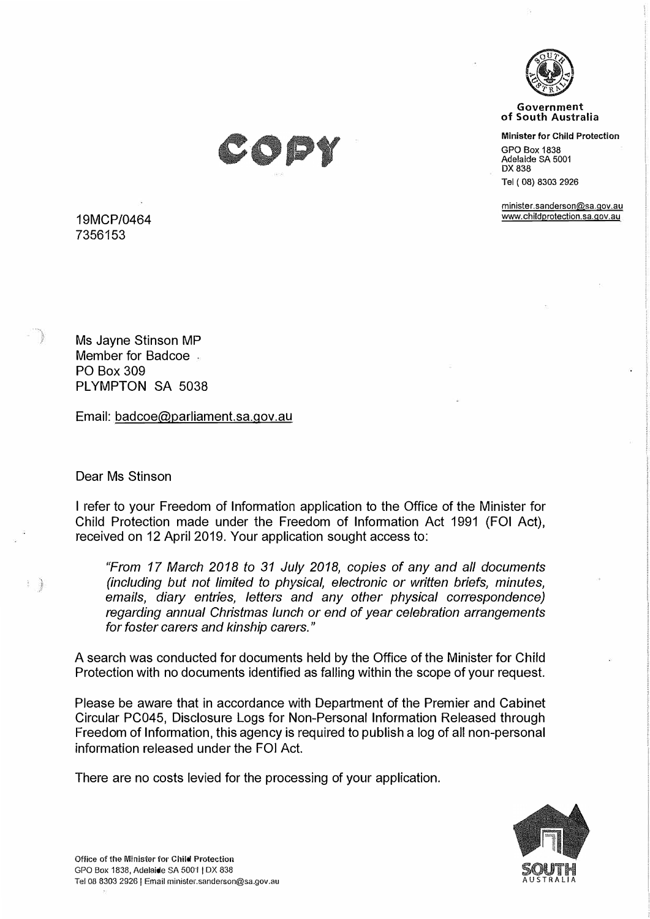

**Government of South Australia** 

**Minister for Child Protection** 

GPO Box 1838 Adelaide SA 5001 DX 838

Tel ( 08) 8303 2926

minister.sanderson@sa.qov.au www.childprotection.sa.gov.au



19MCP/0464 7356153

Ms Jayne Stinson MP Member for Badcoe PO Box 309 PLYMPTON SA 5038

Email: badcoe@parliament.sa.gov.au

Dear Ms Stinson

 $\frac{1}{2}$ 

I refer to your Freedom of Information application to the Office of the Minister for Child Protection made under the Freedom of Information Act 1991 (FOi Act), received on 12 April 2019. Your application sought access to:

*"From 17 March 2018 to 31 July 2018, copies of any and all documents (including but not limited to physical, electronic or written briefs, minutes, emails, diary entries, letters and any other physical correspondence) regarding annual Christmas lunch or end of year celebration arrangements for foster carers and kinship carers."* 

A search was conducted for documents held by the Office of the Minister for Child Protection with no documents identified as falling within the scope of your request.

Please be aware that in accordance with Department of the Premier and Cabinet Circular PC045, Disclosure Logs for Non-Personal Information Released through Freedom of Information, this agency is required to publish a log of all non-personal information released under the FOi Act.

There are no costs levied for the processing of your application.

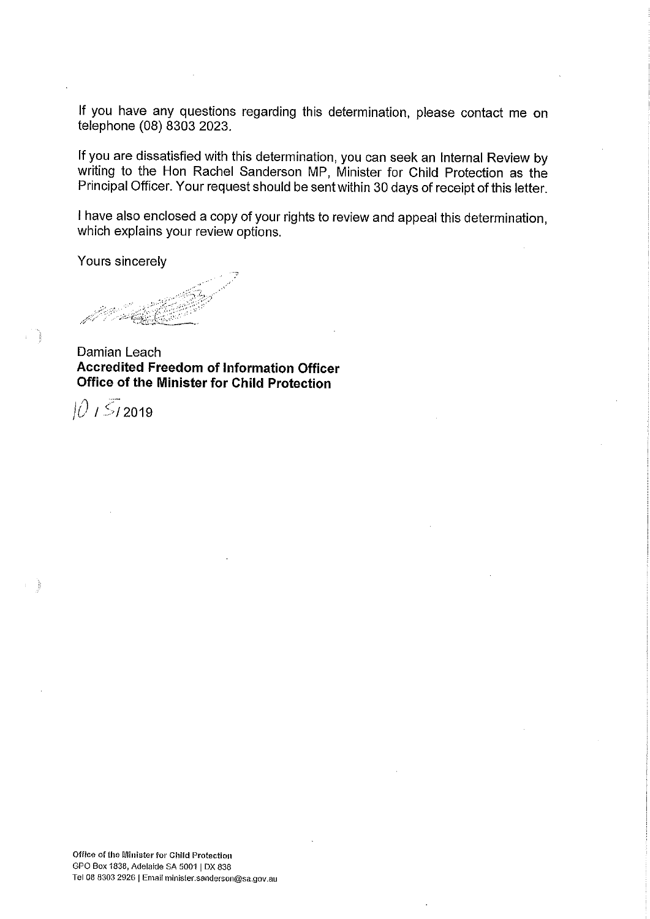If you have any questions regarding this determination, please contact me on telephone (08) 8303 2023.

If you are dissatisfied with this determination, you can seek an Internal Review by writing to the Hon Rachel Sanderson MP, Minister for Child Protection as the Principal Officer. Your request should be sent within 30 days of receipt of this letter.

I have also enclosed a copy of your rights to review and appeal this determination, which explains your review options.

Yours sincerely

Damian Leach **Accredited Freedom of Information Officer** Office of the Minister for Child Protection

 $101512019$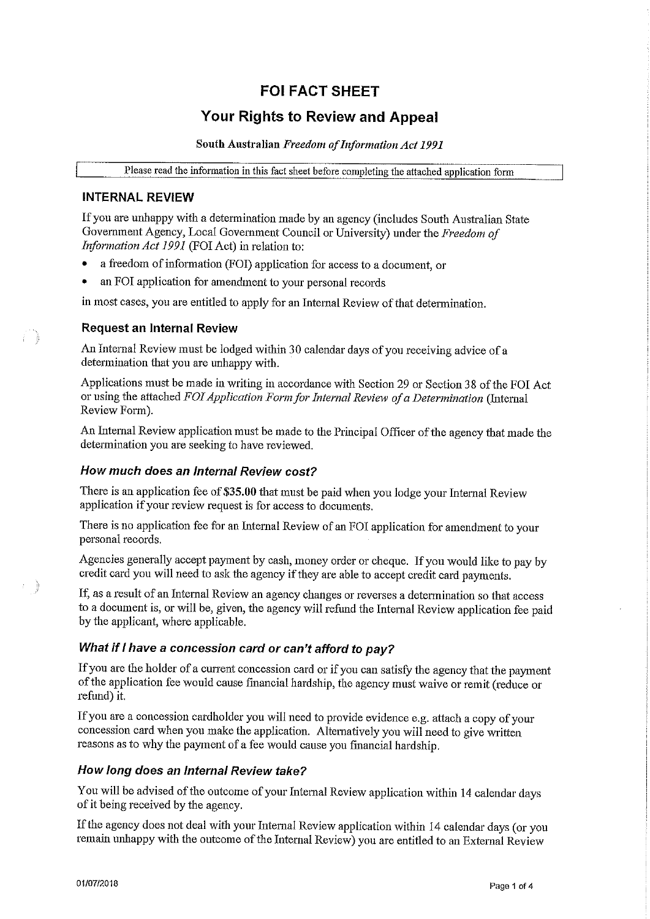# **FOI FACT SHEET**

# **Your Rights to Review and Appeal**

South Australian Freedom of Information Act 1991

Please read the information in this fact sheet before completing the attached application form

## **INTERNAL REVIEW**

If you are unhappy with a determination made by an agency (includes South Australian State Government Agency, Local Government Council or University) under the Freedom of Information Act 1991 (FOI Act) in relation to:

- a freedom of information (FOI) application for access to a document, or
- an FOI application for amendment to your personal records

in most cases, you are entitled to apply for an Internal Review of that determination.

### **Request an Internal Review**

F)

÷)

An Internal Review must be lodged within 30 calendar days of you receiving advice of a determination that you are unhappy with.

Applications must be made in writing in accordance with Section 29 or Section 38 of the FOI Act or using the attached FOI Application Form for Internal Review of a Determination (Internal Review Form).

An Internal Review application must be made to the Principal Officer of the agency that made the determination you are seeking to have reviewed.

#### How much does an Internal Review cost?

There is an application fee of \$35.00 that must be paid when you lodge your Internal Review application if your review request is for access to documents.

There is no application fee for an Internal Review of an FOI application for amendment to your personal records.

Agencies generally accept payment by cash, money order or cheque. If you would like to pay by credit card you will need to ask the agency if they are able to accept credit card payments.

If, as a result of an Internal Review an agency changes or reverses a determination so that access to a document is, or will be, given, the agency will refund the Internal Review application fee paid by the applicant, where applicable.

### What if I have a concession card or can't afford to pay?

If you are the holder of a current concession card or if you can satisfy the agency that the payment of the application fee would cause financial hardship, the agency must waive or remit (reduce or refund) it.

If you are a concession cardholder you will need to provide evidence e.g. attach a copy of your concession card when you make the application. Alternatively you will need to give written reasons as to why the payment of a fee would cause you financial hardship.

#### How long does an Internal Review take?

You will be advised of the outcome of your Internal Review application within 14 calendar days of it being received by the agency.

If the agency does not deal with your Internal Review application within 14 calendar days (or you remain unhappy with the outcome of the Internal Review) you are entitled to an External Review